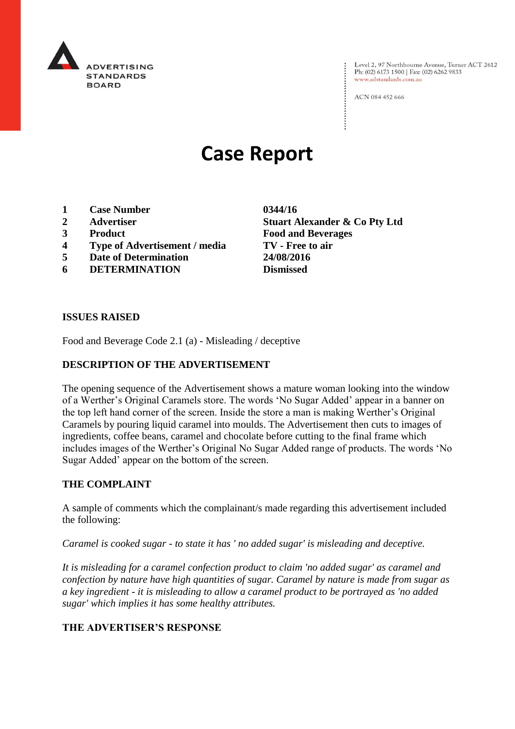

Level 2, 97 Northbourne Avenue, Turner ACT 2612<br>Ph: (02) 6173 1500 | Fax: (02) 6262 9833 www.adstandards.com.au

ACN 084 452 666

# **Case Report**

- **1 Case Number 0344/16**
- 
- 
- **4 Type of Advertisement / media TV - Free to air**
- **5 Date of Determination 24/08/2016**
- **6 DETERMINATION Dismissed**

**2 Advertiser Stuart Alexander & Co Pty Ltd 3 Product Food and Beverages**

#### **ISSUES RAISED**

Food and Beverage Code 2.1 (a) - Misleading / deceptive

### **DESCRIPTION OF THE ADVERTISEMENT**

The opening sequence of the Advertisement shows a mature woman looking into the window of a Werther's Original Caramels store. The words 'No Sugar Added' appear in a banner on the top left hand corner of the screen. Inside the store a man is making Werther's Original Caramels by pouring liquid caramel into moulds. The Advertisement then cuts to images of ingredients, coffee beans, caramel and chocolate before cutting to the final frame which includes images of the Werther's Original No Sugar Added range of products. The words 'No Sugar Added' appear on the bottom of the screen.

### **THE COMPLAINT**

A sample of comments which the complainant/s made regarding this advertisement included the following:

*Caramel is cooked sugar - to state it has ' no added sugar' is misleading and deceptive.*

*It is misleading for a caramel confection product to claim 'no added sugar' as caramel and confection by nature have high quantities of sugar. Caramel by nature is made from sugar as a key ingredient - it is misleading to allow a caramel product to be portrayed as 'no added sugar' which implies it has some healthy attributes.*

### **THE ADVERTISER'S RESPONSE**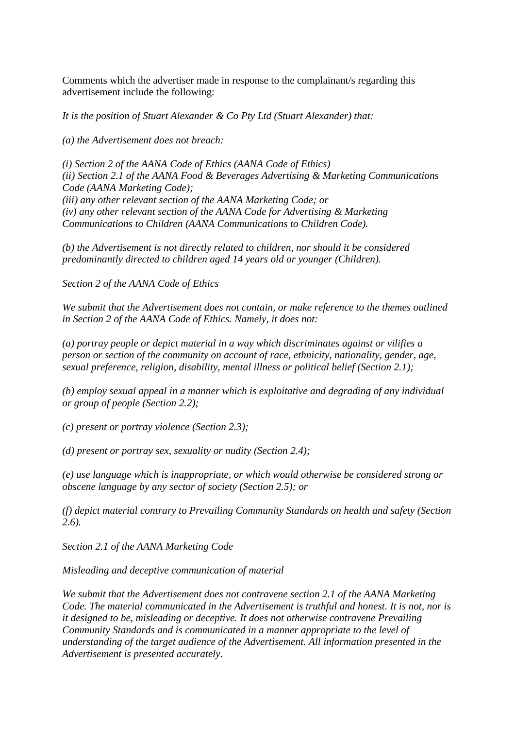Comments which the advertiser made in response to the complainant/s regarding this advertisement include the following:

*It is the position of Stuart Alexander & Co Pty Ltd (Stuart Alexander) that:*

*(a) the Advertisement does not breach:*

*(i) Section 2 of the AANA Code of Ethics (AANA Code of Ethics) (ii) Section 2.1 of the AANA Food & Beverages Advertising & Marketing Communications Code (AANA Marketing Code); (iii) any other relevant section of the AANA Marketing Code; or (iv) any other relevant section of the AANA Code for Advertising & Marketing Communications to Children (AANA Communications to Children Code).*

*(b) the Advertisement is not directly related to children, nor should it be considered predominantly directed to children aged 14 years old or younger (Children).*

*Section 2 of the AANA Code of Ethics*

*We submit that the Advertisement does not contain, or make reference to the themes outlined in Section 2 of the AANA Code of Ethics. Namely, it does not:*

*(a) portray people or depict material in a way which discriminates against or vilifies a person or section of the community on account of race, ethnicity, nationality, gender, age, sexual preference, religion, disability, mental illness or political belief (Section 2.1);*

*(b) employ sexual appeal in a manner which is exploitative and degrading of any individual or group of people (Section 2.2);*

*(c) present or portray violence (Section 2.3);*

*(d) present or portray sex, sexuality or nudity (Section 2.4);*

*(e) use language which is inappropriate, or which would otherwise be considered strong or obscene language by any sector of society (Section 2.5); or*

*(f) depict material contrary to Prevailing Community Standards on health and safety (Section 2.6).*

*Section 2.1 of the AANA Marketing Code*

*Misleading and deceptive communication of material*

*We submit that the Advertisement does not contravene section 2.1 of the AANA Marketing Code. The material communicated in the Advertisement is truthful and honest. It is not, nor is it designed to be, misleading or deceptive. It does not otherwise contravene Prevailing Community Standards and is communicated in a manner appropriate to the level of understanding of the target audience of the Advertisement. All information presented in the Advertisement is presented accurately.*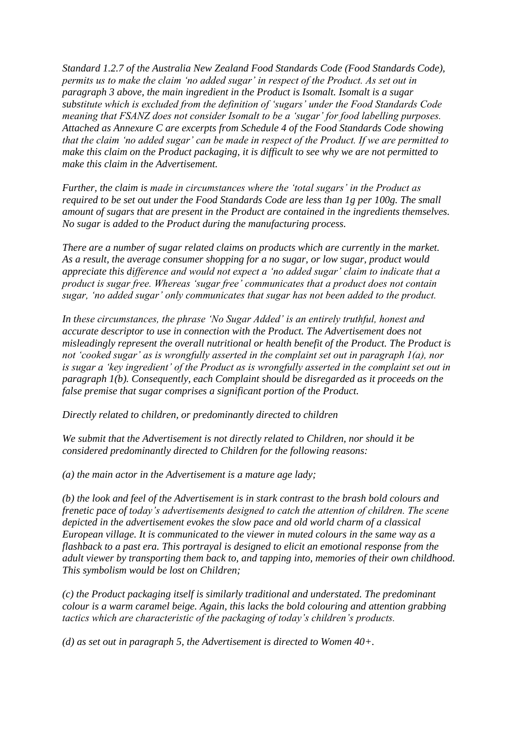*Standard 1.2.7 of the Australia New Zealand Food Standards Code (Food Standards Code), permits us to make the claim 'no added sugar' in respect of the Product. As set out in paragraph 3 above, the main ingredient in the Product is Isomalt. Isomalt is a sugar substitute which is excluded from the definition of 'sugars' under the Food Standards Code meaning that FSANZ does not consider Isomalt to be a 'sugar' for food labelling purposes. Attached as Annexure C are excerpts from Schedule 4 of the Food Standards Code showing that the claim 'no added sugar' can be made in respect of the Product. If we are permitted to make this claim on the Product packaging, it is difficult to see why we are not permitted to make this claim in the Advertisement.*

*Further, the claim is made in circumstances where the 'total sugars' in the Product as required to be set out under the Food Standards Code are less than 1g per 100g. The small amount of sugars that are present in the Product are contained in the ingredients themselves. No sugar is added to the Product during the manufacturing process.*

*There are a number of sugar related claims on products which are currently in the market. As a result, the average consumer shopping for a no sugar, or low sugar, product would appreciate this difference and would not expect a 'no added sugar' claim to indicate that a product is sugar free. Whereas 'sugar free' communicates that a product does not contain sugar, 'no added sugar' only communicates that sugar has not been added to the product.*

*In these circumstances, the phrase 'No Sugar Added' is an entirely truthful, honest and accurate descriptor to use in connection with the Product. The Advertisement does not misleadingly represent the overall nutritional or health benefit of the Product. The Product is not 'cooked sugar' as is wrongfully asserted in the complaint set out in paragraph 1(a), nor is sugar a 'key ingredient' of the Product as is wrongfully asserted in the complaint set out in paragraph 1(b). Consequently, each Complaint should be disregarded as it proceeds on the false premise that sugar comprises a significant portion of the Product.*

*Directly related to children, or predominantly directed to children*

*We submit that the Advertisement is not directly related to Children, nor should it be considered predominantly directed to Children for the following reasons:*

*(a) the main actor in the Advertisement is a mature age lady;*

*(b) the look and feel of the Advertisement is in stark contrast to the brash bold colours and frenetic pace of today's advertisements designed to catch the attention of children. The scene depicted in the advertisement evokes the slow pace and old world charm of a classical European village. It is communicated to the viewer in muted colours in the same way as a flashback to a past era. This portrayal is designed to elicit an emotional response from the adult viewer by transporting them back to, and tapping into, memories of their own childhood. This symbolism would be lost on Children;*

*(c) the Product packaging itself is similarly traditional and understated. The predominant colour is a warm caramel beige. Again, this lacks the bold colouring and attention grabbing tactics which are characteristic of the packaging of today's children's products.*

*(d) as set out in paragraph 5, the Advertisement is directed to Women 40+.*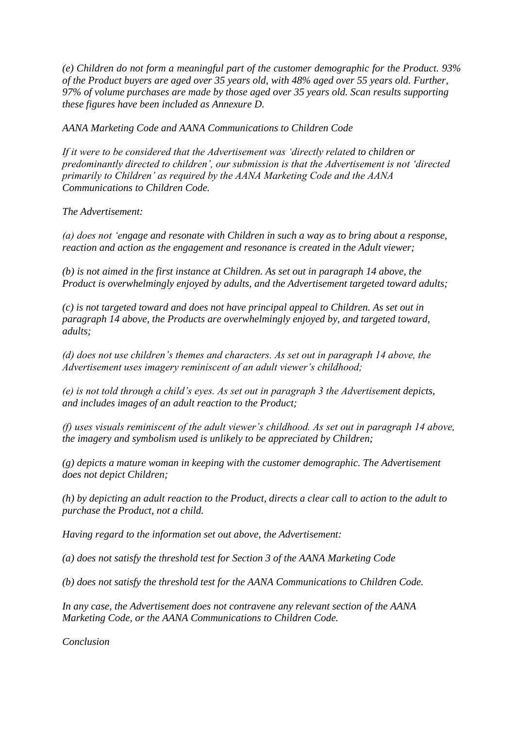*(e) Children do not form a meaningful part of the customer demographic for the Product. 93% of the Product buyers are aged over 35 years old, with 48% aged over 55 years old. Further, 97% of volume purchases are made by those aged over 35 years old. Scan results supporting these figures have been included as Annexure D.*

*AANA Marketing Code and AANA Communications to Children Code*

*If it were to be considered that the Advertisement was 'directly related to children or predominantly directed to children', our submission is that the Advertisement is not 'directed primarily to Children' as required by the AANA Marketing Code and the AANA Communications to Children Code.*

*The Advertisement:*

*(a) does not 'engage and resonate with Children in such a way as to bring about a response, reaction and action as the engagement and resonance is created in the Adult viewer;*

*(b) is not aimed in the first instance at Children. As set out in paragraph 14 above, the Product is overwhelmingly enjoyed by adults, and the Advertisement targeted toward adults;*

*(c) is not targeted toward and does not have principal appeal to Children. As set out in paragraph 14 above, the Products are overwhelmingly enjoyed by, and targeted toward, adults;*

*(d) does not use children's themes and characters. As set out in paragraph 14 above, the Advertisement uses imagery reminiscent of an adult viewer's childhood;*

*(e) is not told through a child's eyes. As set out in paragraph 3 the Advertisement depicts, and includes images of an adult reaction to the Product;*

*(f) uses visuals reminiscent of the adult viewer's childhood. As set out in paragraph 14 above, the imagery and symbolism used is unlikely to be appreciated by Children;*

*(g) depicts a mature woman in keeping with the customer demographic. The Advertisement does not depict Children;*

*(h) by depicting an adult reaction to the Product, directs a clear call to action to the adult to purchase the Product, not a child.*

*Having regard to the information set out above, the Advertisement:*

*(a) does not satisfy the threshold test for Section 3 of the AANA Marketing Code*

*(b) does not satisfy the threshold test for the AANA Communications to Children Code.*

*In any case, the Advertisement does not contravene any relevant section of the AANA Marketing Code, or the AANA Communications to Children Code.*

*Conclusion*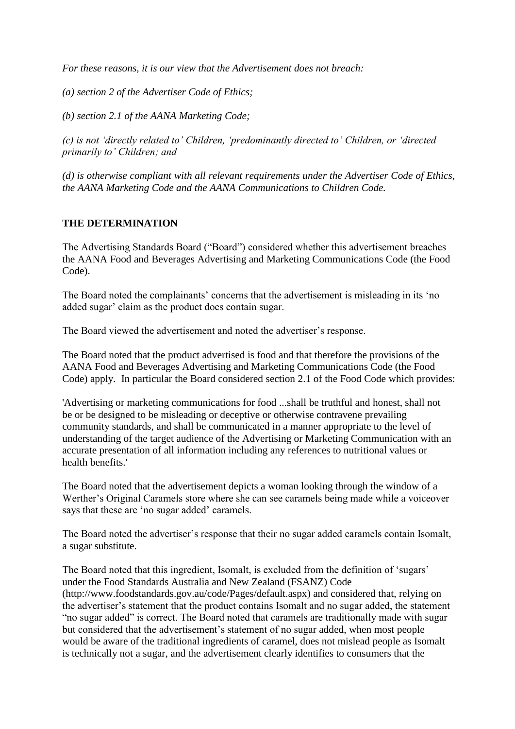*For these reasons, it is our view that the Advertisement does not breach:*

*(a) section 2 of the Advertiser Code of Ethics;*

*(b) section 2.1 of the AANA Marketing Code;*

*(c) is not 'directly related to' Children, 'predominantly directed to' Children, or 'directed primarily to' Children; and*

*(d) is otherwise compliant with all relevant requirements under the Advertiser Code of Ethics, the AANA Marketing Code and the AANA Communications to Children Code.*

## **THE DETERMINATION**

The Advertising Standards Board ("Board") considered whether this advertisement breaches the AANA Food and Beverages Advertising and Marketing Communications Code (the Food Code).

The Board noted the complainants' concerns that the advertisement is misleading in its 'no added sugar' claim as the product does contain sugar.

The Board viewed the advertisement and noted the advertiser's response.

The Board noted that the product advertised is food and that therefore the provisions of the AANA Food and Beverages Advertising and Marketing Communications Code (the Food Code) apply. In particular the Board considered section 2.1 of the Food Code which provides:

'Advertising or marketing communications for food ...shall be truthful and honest, shall not be or be designed to be misleading or deceptive or otherwise contravene prevailing community standards, and shall be communicated in a manner appropriate to the level of understanding of the target audience of the Advertising or Marketing Communication with an accurate presentation of all information including any references to nutritional values or health benefits.'

The Board noted that the advertisement depicts a woman looking through the window of a Werther's Original Caramels store where she can see caramels being made while a voiceover says that these are 'no sugar added' caramels.

The Board noted the advertiser's response that their no sugar added caramels contain Isomalt, a sugar substitute.

The Board noted that this ingredient, Isomalt, is excluded from the definition of 'sugars' under the Food Standards Australia and New Zealand (FSANZ) Code (http://www.foodstandards.gov.au/code/Pages/default.aspx) and considered that, relying on the advertiser's statement that the product contains Isomalt and no sugar added, the statement "no sugar added" is correct. The Board noted that caramels are traditionally made with sugar but considered that the advertisement's statement of no sugar added, when most people would be aware of the traditional ingredients of caramel, does not mislead people as Isomalt is technically not a sugar, and the advertisement clearly identifies to consumers that the